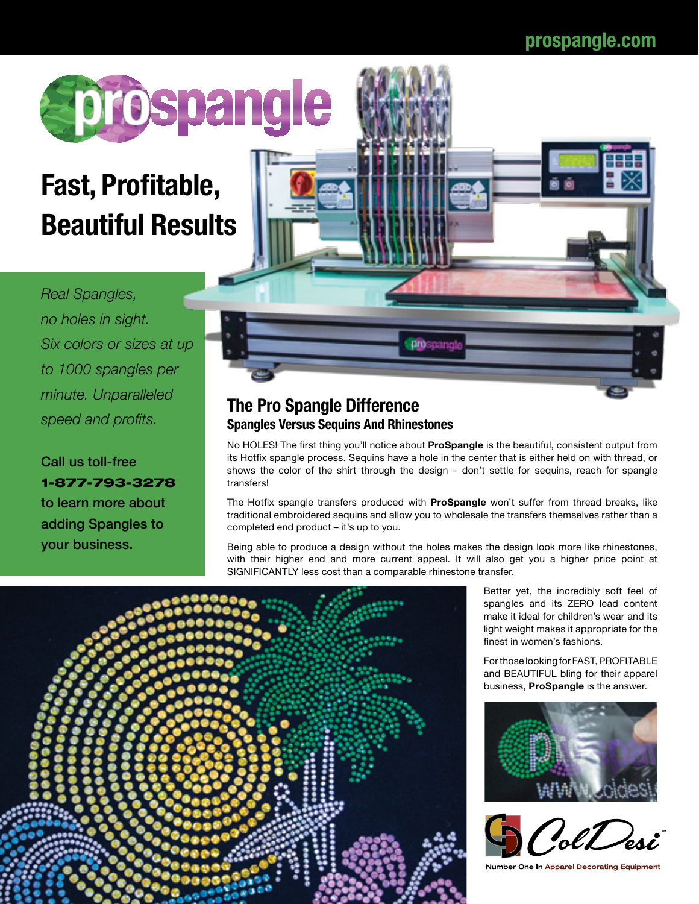

## **Fast, Profitable, Beautiful Results**

*Real Spangles, no holes in sight. Six colors or sizes at up to 1000 spangles per minute. Unparalleled* 

Call us toll-free 1-877-793-3278 to learn more about adding Spangles to your business.



## *speed and profits.* **The Pro Spangle Difference Spangles Versus Sequins And Rhinestones**

No HOLES! The first thing you'll notice about **ProSpangle** is the beautiful, consistent output from its Hotfix spangle process. Sequins have a hole in the center that is either held on with thread, or shows the color of the shirt through the design – don't settle for sequins, reach for spangle transfers!

The Hotfix spangle transfers produced with **ProSpangle** won't suffer from thread breaks, like traditional embroidered sequins and allow you to wholesale the transfers themselves rather than a completed end product – it's up to you.

Being able to produce a design without the holes makes the design look more like rhinestones, with their higher end and more current appeal. It will also get you a higher price point at SIGNIFICANTLY less cost than a comparable rhinestone transfer.



Better yet, the incredibly soft feel of spangles and its ZERO lead content make it ideal for children's wear and its light weight makes it appropriate for the finest in women's fashions.

For those looking for FAST, PROFITABLE and BEAUTIFUL bling for their apparel business, **ProSpangle** is the answer.





Number One In Apparel Decorating Equipment